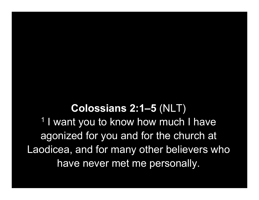Colossians 2:1–5 (NLT) 1 I want you to know how much I have agonized for you and for the church at Laodicea, and for many other believers who have never met me personally.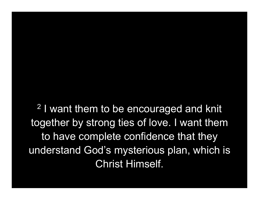2 I want them to be encouraged and knit together by strong ties of love. I want them to have complete confidence that they understand God's mysterious plan, which is Christ Himself.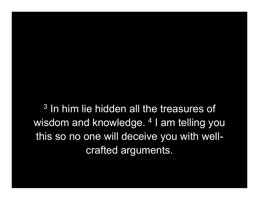3 In him lie hidden all the treasures of wisdom and knowledge. <sup>4</sup> I am telling you this so no one will deceive you with wellcrafted arguments.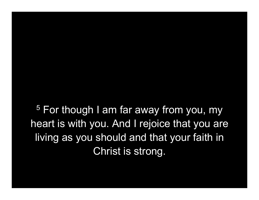<sup>5</sup> For though I am far away from you, my heart is with you. And I rejoice that you are living as you should and that your faith in Christ is strong.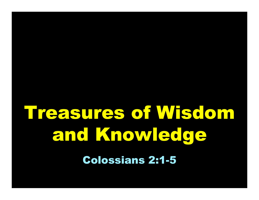# Treasures of Wisdom and Knowledge

Colossians 2:1-5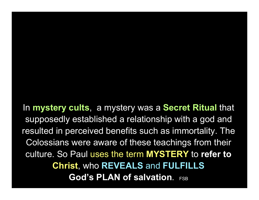In mystery cults, a mystery was a Secret Ritual that supposedly established a relationship with a god and resulted in perceived benefits such as immortality. The Colossians were aware of these teachings from their culture. So Paul uses the term MYSTERY to refer to Christ, who REVEALS and FULFILLS God's PLAN of salvation. FSB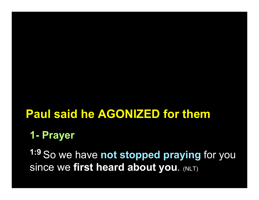### Paul said he AGONIZED for them

#### 1- Prayer

1:9 So we have not stopped praying for you Since we first heard about you. (NLT)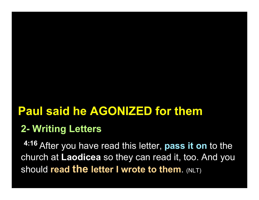## Paul said he AGONIZED for them

#### 2- Writing Letters

4:16 After you have read this letter, pass it on to the church at Laodicea so they can read it, too. And you should read the letter I wrote to them. (NLT)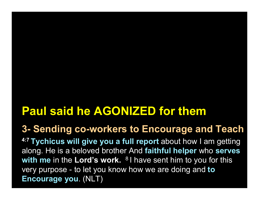# Paul said he AGONIZED for them

#### 3- Sending co-workers to Encourage and Teach

4:7 Tychicus will give you a full report about how I am getting along. He is a beloved brother And faithful helper who serves with me in the Lord's work.  $81$  have sent him to you for this very purpose - to let you know how we are doing and to Encourage you. (NLT)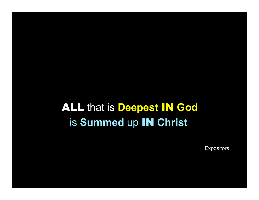**ALL that is Deepest IN God** is Summed up IN Christ

**Expositors**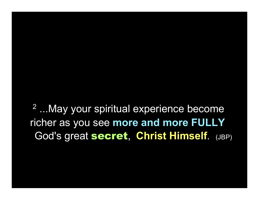2 ...May your spiritual experience become richer as you see more and more FULLY God's great secret, Christ Himself. (JBP)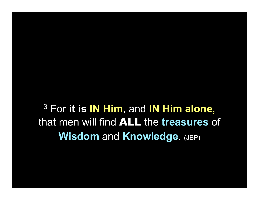$3$  For it is IN Him, and IN Him alone, that men will find ALL the treasures of Wisdom and Knowledge. (JBP)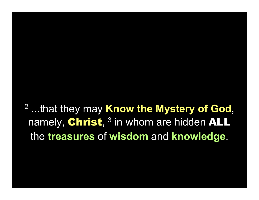<sup>2</sup> ...that they may Know the Mystery of God, namely, Christ, <sup>3</sup> in whom are hidden ALL the treasures of wisdom and knowledge.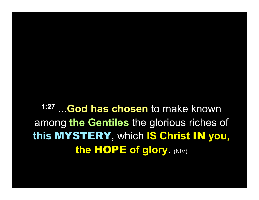1:27 ...God has chosen to make known among the Gentiles the glorious riches of this MYSTERY, which IS Christ IN you, the HOPE of glory. (NIV)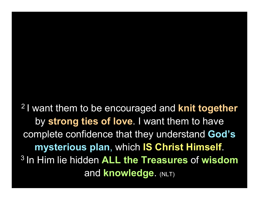<sup>2</sup> I want them to be encouraged and **knit together** by strong ties of love. I want them to have complete confidence that they understand God's mysterious plan, which IS Christ Himself. <sup>3</sup> In Him lie hidden ALL the Treasures of wisdom **and knowledge. (NLT)**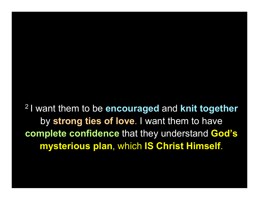<sup>2</sup> I want them to be encouraged and knit together by strong ties of love. I want them to have complete confidence that they understand God's mysterious plan, which IS Christ Himself.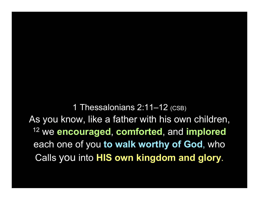1 Thessalonians 2:11–12 (CSB) As you know, like a father with his own children, <sup>12</sup> we encouraged, comforted, and implored each one of you to walk worthy of God, who Calls you into HIS own kingdom and glory.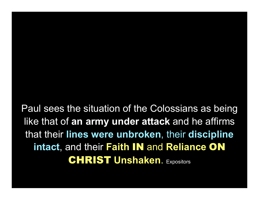Paul sees the situation of the Colossians as being like that of an army under attack and he affirms that their lines were unbroken, their discipline intact, and their Faith IN and Reliance ON **CHRIST Unshaken. Expositors**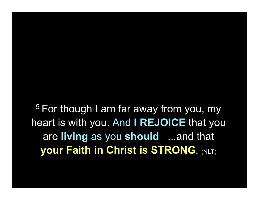<sup>5</sup> For though I am far away from you, my heart is with you. And I REJOICE that you are living as you should ...and that **your Faith in Christ is STRONG. (NLT)**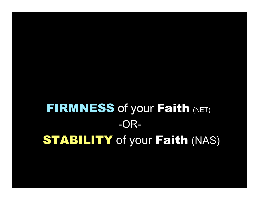# **FIRMNESS of your Faith (NET)** -OR-**STABILITY** of your Faith (NAS)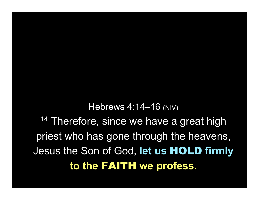Hebrews 4:14–16 (NIV) 14 Therefore, since we have a great high priest who has gone through the heavens, Jesus the Son of God, let us HOLD firmly to the FAITH we profess.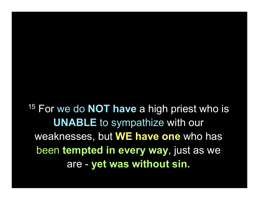$15$  For we do **NOT have** a high priest who is UNABLE to sympathize with our weaknesses, but WE have one who has been tempted in every way, just as we are - yet was without sin.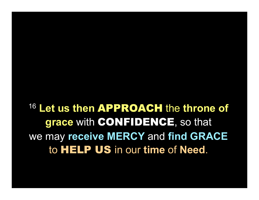16 Let us then APPROACH the throne of grace with CONFIDENCE, so that we may receive MERCY and find GRACE to HELP US in our time of Need.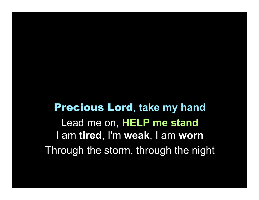Precious Lord, take my hand Lead me on, HELP me stand I am tired, I'm weak, I am worn Through the storm, through the night